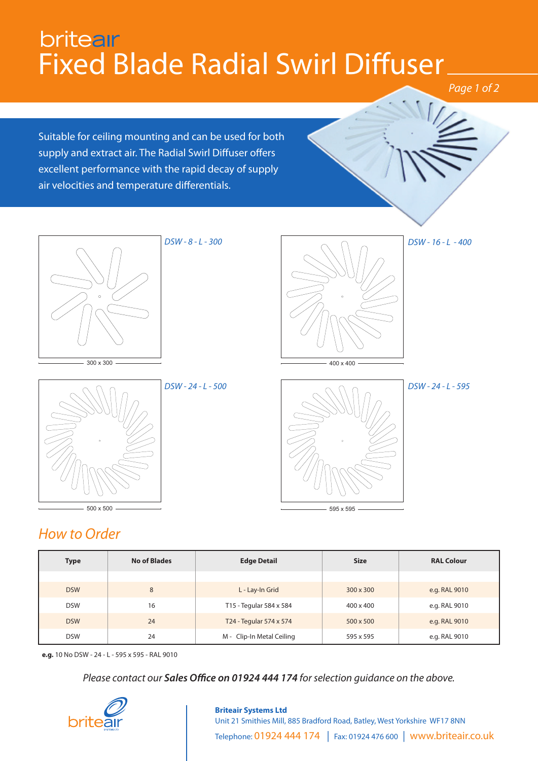# britear Fixed Blade Radial Swirl Diffuser

*Page 1 of 2*

Suitable for ceiling mounting and can be used for both supply and extract air. The Radial Swirl Diffuser offers excellent performance with the rapid decay of supply air velocities and temperature differentials.









595 x 595

### *How to Order*  $-500 \times 500$

| <b>Type</b> | <b>No of Blades</b> | <b>Edge Detail</b>        | <b>Size</b>      | <b>RAL Colour</b> |  |
|-------------|---------------------|---------------------------|------------------|-------------------|--|
|             |                     |                           |                  |                   |  |
| <b>DSW</b>  | 8                   | L - Lay-In Grid           | $300 \times 300$ | e.g. RAL 9010     |  |
| <b>DSW</b>  | 16                  | T15 - Tegular 584 x 584   | 400 x 400        | e.g. RAL 9010     |  |
| <b>DSW</b>  | 24                  | T24 - Tegular 574 x 574   | 500 x 500        | e.g. RAL 9010     |  |
| <b>DSW</b>  | 24                  | M - Clip-In Metal Ceiling | 595 x 595        | e.g. RAL 9010     |  |

**e.g.** 10 No DSW - 24 - L - 595 x 595 - RAL 9010

*Please contact our Sales Office on 01924 444 174 for selection guidance on the above.*



### **Briteair Systems Ltd** Unit 21 Smithies Mill, 885 Bradford Road, Batley, West Yorkshire WF17 8NN Telephone: 01924 444 174 | Fax: 01924 476 600 | www.briteair.co.uk